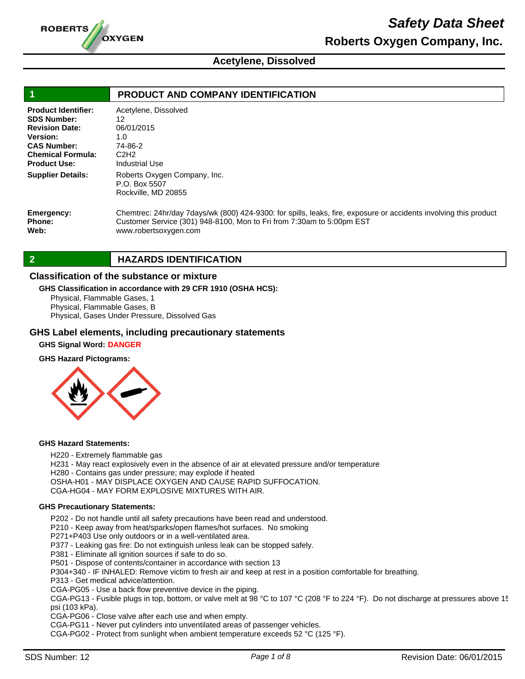

# *Safety Data Sheet* **Roberts Oxygen Company, Inc.**

## **Acetylene, Dissolved**

|                                                                                                                                                                       | <b>PRODUCT AND COMPANY IDENTIFICATION</b>                                                                                                                                                                           |
|-----------------------------------------------------------------------------------------------------------------------------------------------------------------------|---------------------------------------------------------------------------------------------------------------------------------------------------------------------------------------------------------------------|
| <b>Product Identifier:</b><br><b>SDS Number:</b><br><b>Revision Date:</b><br><b>Version:</b><br><b>CAS Number:</b><br><b>Chemical Formula:</b><br><b>Product Use:</b> | Acetylene, Dissolved<br>12<br>06/01/2015<br>1.0<br>74-86-2<br>C2H2<br>Industrial Use                                                                                                                                |
| <b>Supplier Details:</b>                                                                                                                                              | Roberts Oxygen Company, Inc.<br>P.O. Box 5507<br>Rockville, MD 20855                                                                                                                                                |
| Emergency:<br>Phone:<br>Web:                                                                                                                                          | Chemtrec: 24hr/day 7days/wk (800) 424-9300: for spills, leaks, fire, exposure or accidents involving this product<br>Customer Service (301) 948-8100, Mon to Fri from 7:30am to 5:00pm EST<br>www.robertsoxygen.com |

## **2 HAZARDS IDENTIFICATION**

### **Classification of the substance or mixture**

#### **GHS Classification in accordance with 29 CFR 1910 (OSHA HCS):**

Physical, Flammable Gases, 1 Physical, Flammable Gases, B Physical, Gases Under Pressure, Dissolved Gas

### **GHS Label elements, including precautionary statements**

### **GHS Signal Word: DANGER**

#### **GHS Hazard Pictograms:**



#### **GHS Hazard Statements:**

H220 - Extremely flammable gas

H231 - May react explosively even in the absence of air at elevated pressure and/or temperature H280 - Contains gas under pressure; may explode if heated

OSHA-H01 - MAY DISPLACE OXYGEN AND CAUSE RAPID SUFFOCATION.

CGA-HG04 - MAY FORM EXPLOSIVE MIXTURES WITH AIR.

#### **GHS Precautionary Statements:**

P202 - Do not handle until all safety precautions have been read and understood.

P210 - Keep away from heat/sparks/open flames/hot surfaces. No smoking

P271+P403 Use only outdoors or in a well-ventilated area.

P377 - Leaking gas fire: Do not extinguish unless leak can be stopped safely.

P381 - Eliminate all ignition sources if safe to do so.

P501 - Dispose of contents/container in accordance with section 13

P304+340 - IF INHALED: Remove victim to fresh air and keep at rest in a position comfortable for breathing.

P313 - Get medical advice/attention.

CGA-PG05 - Use a back flow preventive device in the piping.

CGA-PG13 - Fusible plugs in top, bottom, or valve melt at 98 °C to 107 °C (208 °F to 224 °F). Do not discharge at pressures above 15 psi (103 kPa).

CGA-PG06 - Close valve after each use and when empty.

CGA-PG11 - Never put cylinders into unventilated areas of passenger vehicles.

CGA-PG02 - Protect from sunlight when ambient temperature exceeds 52 °C (125 °F).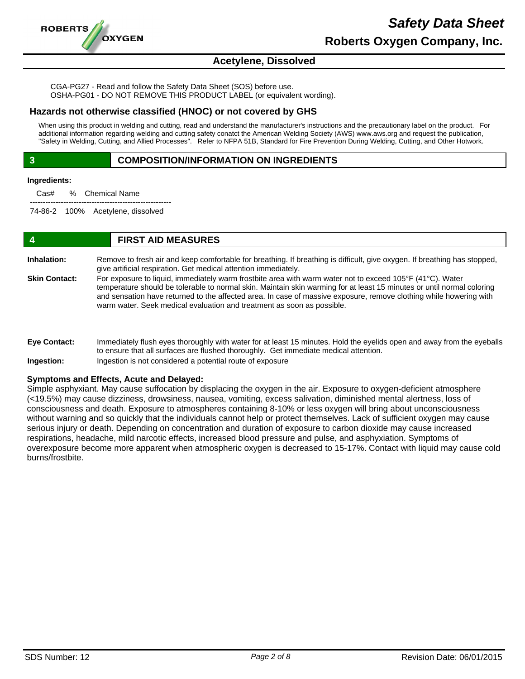

CGA-PG27 - Read and follow the Safety Data Sheet (SOS) before use. OSHA-PG01 - DO NOT REMOVE THIS PRODUCT LABEL (or equivalent wording).

## **Hazards not otherwise classified (HNOC) or not covered by GHS**

When using this product in welding and cutting, read and understand the manufacturer's instructions and the precautionary label on the product. For additional information regarding welding and cutting safety conatct the American Welding Society (AWS) www.aws.org and request the publication, "Safety in Welding, Cutting, and Allied Processes". Refer to NFPA 51B, Standard for Fire Prevention During Welding, Cutting, and Other Hotwork.

## **3 COMPOSITION/INFORMATION ON INGREDIENTS**

#### **Ingredients:**

Cas# % Chemical Name

------------------------------------------------------- 74-86-2 100% Acetylene, dissolved

## **4 FIRST AID MEASURES** Remove to fresh air and keep comfortable for breathing. If breathing is difficult, give oxygen. If breathing has stopped, give artificial respiration. Get medical attention immediately. For exposure to liquid, immediately warm frostbite area with warm water not to exceed 105°F (41°C). Water temperature should be tolerable to normal skin. Maintain skin warming for at least 15 minutes or until normal coloring and sensation have returned to the affected area. In case of massive exposure, remove clothing while howering with warm water. Seek medical evaluation and treatment as soon as possible. **Inhalation: Skin Contact:**

Immediately flush eyes thoroughly with water for at least 15 minutes. Hold the eyelids open and away from the eyeballs to ensure that all surfaces are flushed thoroughly. Get immediate medical attention. Ingestion is not considered a potential route of exposure **Eye Contact: Ingestion:**

### **Symptoms and Effects, Acute and Delayed:**

Simple asphyxiant. May cause suffocation by displacing the oxygen in the air. Exposure to oxygen-deficient atmosphere (<19.5%) may cause dizziness, drowsiness, nausea, vomiting, excess salivation, diminished mental alertness, loss of consciousness and death. Exposure to atmospheres containing 8-10% or less oxygen will bring about unconsciousness without warning and so quickly that the individuals cannot help or protect themselves. Lack of sufficient oxygen may cause serious injury or death. Depending on concentration and duration of exposure to carbon dioxide may cause increased respirations, headache, mild narcotic effects, increased blood pressure and pulse, and asphyxiation. Symptoms of overexposure become more apparent when atmospheric oxygen is decreased to 15-17%. Contact with liquid may cause cold burns/frostbite.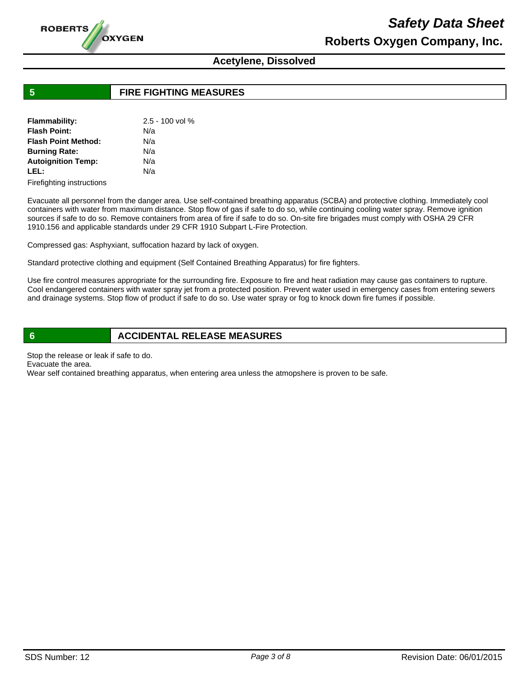

# *Safety Data Sheet* **Roberts Oxygen Company, Inc.**

## **Acetylene, Dissolved**

## **5 FIRE FIGHTING MEASURES**

| <b>Flammability:</b>       | $2.5 - 100$ vol % |
|----------------------------|-------------------|
| <b>Flash Point:</b>        | N/a               |
| <b>Flash Point Method:</b> | N/a               |
| <b>Burning Rate:</b>       | N/a               |
| <b>Autoignition Temp:</b>  | N/a               |
| LEL:                       | N/a               |
|                            |                   |

Firefighting instructions

Evacuate all personnel from the danger area. Use self-contained breathing apparatus (SCBA) and protective clothing. Immediately cool containers with water from maximum distance. Stop flow of gas if safe to do so, while continuing cooling water spray. Remove ignition sources if safe to do so. Remove containers from area of fire if safe to do so. On-site fire brigades must comply with OSHA 29 CFR 1910.156 and applicable standards under 29 CFR 1910 Subpart L-Fire Protection.

Compressed gas: Asphyxiant, suffocation hazard by lack of oxygen.

Standard protective clothing and equipment (Self Contained Breathing Apparatus) for fire fighters.

Use fire control measures appropriate for the surrounding fire. Exposure to fire and heat radiation may cause gas containers to rupture. Cool endangered containers with water spray jet from a protected position. Prevent water used in emergency cases from entering sewers and drainage systems. Stop flow of product if safe to do so. Use water spray or fog to knock down fire fumes if possible.

## **6 ACCIDENTAL RELEASE MEASURES**

Stop the release or leak if safe to do. Evacuate the area.

Wear self contained breathing apparatus, when entering area unless the atmopshere is proven to be safe.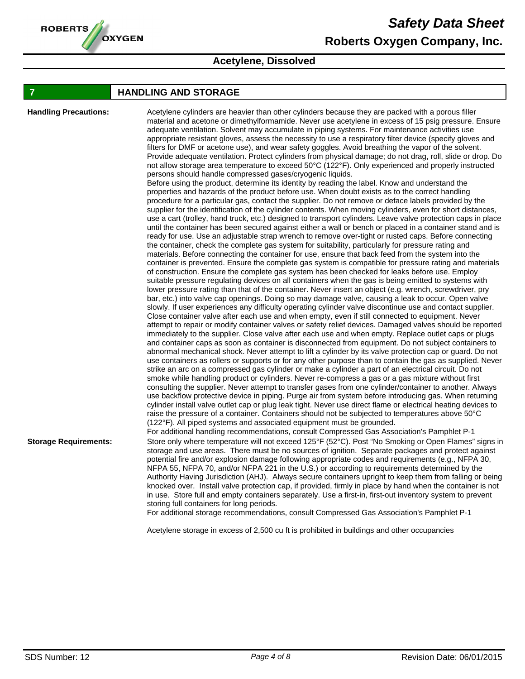

## **FIGURE 12 IN STORAGE**

| <b>Handling Precautions:</b> | Acetylene cylinders are heavier than other cylinders because they are packed with a porous filler<br>material and acetone or dimethylformamide. Never use acetylene in excess of 15 psig pressure. Ensure<br>adequate ventilation. Solvent may accumulate in piping systems. For maintenance activities use<br>appropriate resistant gloves, assess the necessity to use a respiratory filter device (specify gloves and<br>filters for DMF or acetone use), and wear safety goggles. Avoid breathing the vapor of the solvent.<br>Provide adequate ventilation. Protect cylinders from physical damage; do not drag, roll, slide or drop. Do<br>not allow storage area temperature to exceed 50°C (122°F). Only experienced and properly instructed<br>persons should handle compressed gases/cryogenic liquids.<br>Before using the product, determine its identity by reading the label. Know and understand the<br>properties and hazards of the product before use. When doubt exists as to the correct handling<br>procedure for a particular gas, contact the supplier. Do not remove or deface labels provided by the<br>supplier for the identification of the cylinder contents. When moving cylinders, even for short distances,<br>use a cart (trolley, hand truck, etc.) designed to transport cylinders. Leave valve protection caps in place<br>until the container has been secured against either a wall or bench or placed in a container stand and is<br>ready for use. Use an adjustable strap wrench to remove over-tight or rusted caps. Before connecting<br>the container, check the complete gas system for suitability, particularly for pressure rating and<br>materials. Before connecting the container for use, ensure that back feed from the system into the<br>container is prevented. Ensure the complete gas system is compatible for pressure rating and materials<br>of construction. Ensure the complete gas system has been checked for leaks before use. Employ<br>suitable pressure regulating devices on all containers when the gas is being emitted to systems with<br>lower pressure rating than that of the container. Never insert an object (e.g. wrench, screwdriver, pry<br>bar, etc.) into valve cap openings. Doing so may damage valve, causing a leak to occur. Open valve<br>slowly. If user experiences any difficulty operating cylinder valve discontinue use and contact supplier.<br>Close container valve after each use and when empty, even if still connected to equipment. Never<br>attempt to repair or modify container valves or safety relief devices. Damaged valves should be reported<br>immediately to the supplier. Close valve after each use and when empty. Replace outlet caps or plugs<br>and container caps as soon as container is disconnected from equipment. Do not subject containers to<br>abnormal mechanical shock. Never attempt to lift a cylinder by its valve protection cap or guard. Do not<br>use containers as rollers or supports or for any other purpose than to contain the gas as supplied. Never<br>strike an arc on a compressed gas cylinder or make a cylinder a part of an electrical circuit. Do not<br>smoke while handling product or cylinders. Never re-compress a gas or a gas mixture without first<br>consulting the supplier. Never attempt to transfer gases from one cylinder/container to another. Always<br>use backflow protective device in piping. Purge air from system before introducing gas. When returning<br>cylinder install valve outlet cap or plug leak tight. Never use direct flame or electrical heating devices to<br>raise the pressure of a container. Containers should not be subjected to temperatures above 50°C<br>(122°F). All piped systems and associated equipment must be grounded.<br>For additional handling recommendations, consult Compressed Gas Association's Pamphlet P-1 |
|------------------------------|---------------------------------------------------------------------------------------------------------------------------------------------------------------------------------------------------------------------------------------------------------------------------------------------------------------------------------------------------------------------------------------------------------------------------------------------------------------------------------------------------------------------------------------------------------------------------------------------------------------------------------------------------------------------------------------------------------------------------------------------------------------------------------------------------------------------------------------------------------------------------------------------------------------------------------------------------------------------------------------------------------------------------------------------------------------------------------------------------------------------------------------------------------------------------------------------------------------------------------------------------------------------------------------------------------------------------------------------------------------------------------------------------------------------------------------------------------------------------------------------------------------------------------------------------------------------------------------------------------------------------------------------------------------------------------------------------------------------------------------------------------------------------------------------------------------------------------------------------------------------------------------------------------------------------------------------------------------------------------------------------------------------------------------------------------------------------------------------------------------------------------------------------------------------------------------------------------------------------------------------------------------------------------------------------------------------------------------------------------------------------------------------------------------------------------------------------------------------------------------------------------------------------------------------------------------------------------------------------------------------------------------------------------------------------------------------------------------------------------------------------------------------------------------------------------------------------------------------------------------------------------------------------------------------------------------------------------------------------------------------------------------------------------------------------------------------------------------------------------------------------------------------------------------------------------------------------------------------------------------------------------------------------------------------------------------------------------------------------------------------------------------------------------------------------------------------------------------------------------------------------------------------------------------------------------------------------------------------------------------------------------------------------------------------------------------------------------------------------------------------------------------------------------------------------------------------------------------------------------------------------------------------------------------------------------------|
| <b>Storage Requirements:</b> | Store only where temperature will not exceed 125°F (52°C). Post "No Smoking or Open Flames" signs in<br>storage and use areas. There must be no sources of ignition. Separate packages and protect against<br>potential fire and/or explosion damage following appropriate codes and requirements (e.g., NFPA 30,<br>NFPA 55, NFPA 70, and/or NFPA 221 in the U.S.) or according to requirements determined by the<br>Authority Having Jurisdiction (AHJ). Always secure containers upright to keep them from falling or being<br>knocked over. Install valve protection cap, if provided, firmly in place by hand when the container is not<br>in use. Store full and empty containers separately. Use a first-in, first-out inventory system to prevent<br>storing full containers for long periods.<br>For additional storage recommendations, consult Compressed Gas Association's Pamphlet P-1                                                                                                                                                                                                                                                                                                                                                                                                                                                                                                                                                                                                                                                                                                                                                                                                                                                                                                                                                                                                                                                                                                                                                                                                                                                                                                                                                                                                                                                                                                                                                                                                                                                                                                                                                                                                                                                                                                                                                                                                                                                                                                                                                                                                                                                                                                                                                                                                                                                                                                                                                                                                                                                                                                                                                                                                                                                                                                                                                                                                                                   |
|                              | Acetylene storage in excess of 2,500 cu ft is prohibited in buildings and other occupancies                                                                                                                                                                                                                                                                                                                                                                                                                                                                                                                                                                                                                                                                                                                                                                                                                                                                                                                                                                                                                                                                                                                                                                                                                                                                                                                                                                                                                                                                                                                                                                                                                                                                                                                                                                                                                                                                                                                                                                                                                                                                                                                                                                                                                                                                                                                                                                                                                                                                                                                                                                                                                                                                                                                                                                                                                                                                                                                                                                                                                                                                                                                                                                                                                                                                                                                                                                                                                                                                                                                                                                                                                                                                                                                                                                                                                                           |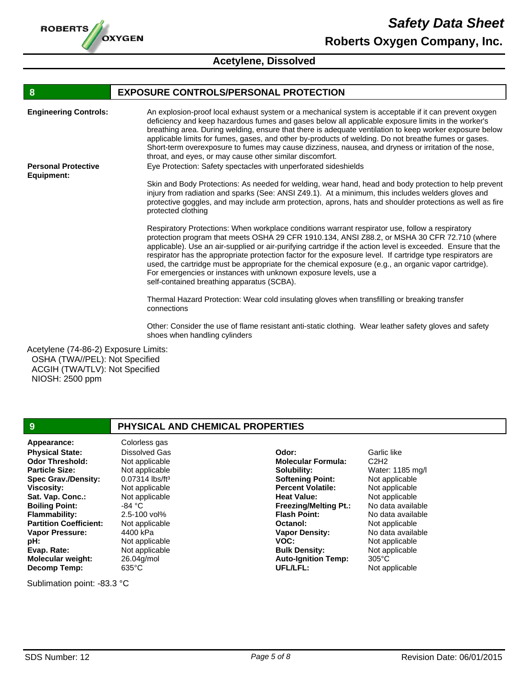

### **8 EXPOSURE CONTROLS/PERSONAL PROTECTION**

| <b>Engineering Controls:</b>                                           | An explosion-proof local exhaust system or a mechanical system is acceptable if it can prevent oxygen<br>deficiency and keep hazardous fumes and gases below all applicable exposure limits in the worker's<br>breathing area. During welding, ensure that there is adequate ventilation to keep worker exposure below<br>applicable limits for fumes, gases, and other by-products of welding. Do not breathe fumes or gases.<br>Short-term overexposure to fumes may cause dizziness, nausea, and dryness or irritation of the nose,<br>throat, and eyes, or may cause other similar discomfort.                                                       |
|------------------------------------------------------------------------|----------------------------------------------------------------------------------------------------------------------------------------------------------------------------------------------------------------------------------------------------------------------------------------------------------------------------------------------------------------------------------------------------------------------------------------------------------------------------------------------------------------------------------------------------------------------------------------------------------------------------------------------------------|
| <b>Personal Protective</b><br>Equipment:                               | Eye Protection: Safety spectacles with unperforated sideshields                                                                                                                                                                                                                                                                                                                                                                                                                                                                                                                                                                                          |
|                                                                        | Skin and Body Protections: As needed for welding, wear hand, head and body protection to help prevent<br>injury from radiation and sparks (See: ANSI Z49.1). At a minimum, this includes welders gloves and<br>protective goggles, and may include arm protection, aprons, hats and shoulder protections as well as fire<br>protected clothing                                                                                                                                                                                                                                                                                                           |
|                                                                        | Respiratory Protections: When workplace conditions warrant respirator use, follow a respiratory<br>protection program that meets OSHA 29 CFR 1910.134, ANSI Z88.2, or MSHA 30 CFR 72.710 (where<br>applicable). Use an air-supplied or air-purifying cartridge if the action level is exceeded. Ensure that the<br>respirator has the appropriate protection factor for the exposure level. If cartridge type respirators are<br>used, the cartridge must be appropriate for the chemical exposure (e.g., an organic vapor cartridge).<br>For emergencies or instances with unknown exposure levels, use a<br>self-contained breathing apparatus (SCBA). |
|                                                                        | Thermal Hazard Protection: Wear cold insulating gloves when transfilling or breaking transfer<br>connections                                                                                                                                                                                                                                                                                                                                                                                                                                                                                                                                             |
|                                                                        | Other: Consider the use of flame resistant anti-static clothing. Wear leather safety gloves and safety<br>shoes when handling cylinders                                                                                                                                                                                                                                                                                                                                                                                                                                                                                                                  |
| Acetylene (74-86-2) Exposure Limits:<br>OSHA (TWA//PEL): Not Specified |                                                                                                                                                                                                                                                                                                                                                                                                                                                                                                                                                                                                                                                          |

 ACGIH (TWA/TLV): Not Specified NIOSH: 2500 ppm

## **9 PHYSICAL AND CHEMICAL PROPERTIES**

**Physical State: Odor Threshold: Particle Size: Spec Grav./Density: Viscosity: Sat. Vap. Conc.: Boiling Point: Flammability: Partition Coefficient: Vapor Pressure: pH: Evap. Rate: Molecular weight: Decomp Temp:** Appearance: Colorless gas

Dissolved Gas Not applicable Not applicable 0.07314 lbs/ft<sup>3</sup> Not applicable Not applicable -84 °C 2.5-100 vol% Not applicable 4400 kPa Not applicable Not applicable 26.04g/mol 635°C

**Odor: Molecular Formula: Solubility: Softening Point: Percent Volatile: Heat Value: Freezing/Melting Pt.: Flash Point: Octanol: Vapor Density: VOC: Bulk Density: Auto-Ignition Temp: UFL/LFL:**

Garlic like C2H2 Water: 1185 mg/l Not applicable Not applicable Not applicable No data available No data available Not applicable No data available Not applicable Not applicable 305°C Not applicable

Sublimation point: -83.3 °C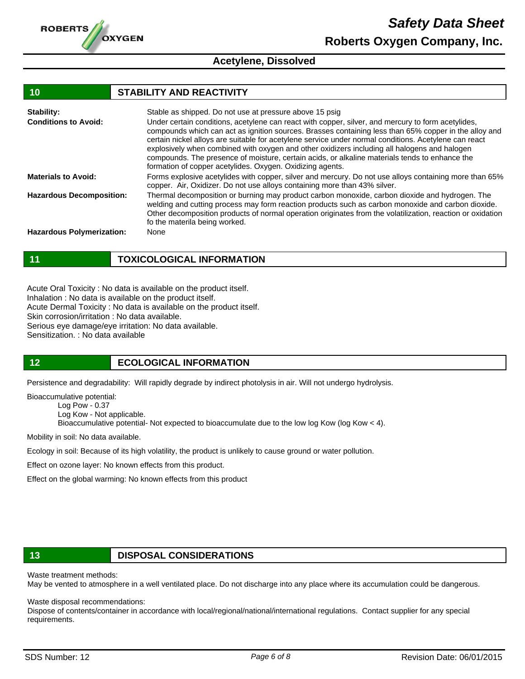

#### **10 STABILITY AND REACTIVITY** Stable as shipped. Do not use at pressure above 15 psig Under certain conditions, acetylene can react with copper, silver, and mercury to form acetylides, compounds which can act as ignition sources. Brasses containing less than 65% copper in the alloy and certain nickel alloys are suitable for acetylene service under normal conditions. Acetylene can react explosively when combined with oxygen and other oxidizers including all halogens and halogen compounds. The presence of moisture, certain acids, or alkaline materials tends to enhance the formation of copper acetylides. Oxygen. Oxidizing agents. Forms explosive acetylides with copper, silver and mercury. Do not use alloys containing more than 65% copper. Air, Oxidizer. Do not use alloys containing more than 43% silver. Thermal decomposition or burning may product carbon monoxide, carbon dioxide and hydrogen. The welding and cutting process may form reaction products such as carbon monoxide and carbon dioxide. Other decomposition products of normal operation originates from the volatilization, reaction or oxidation fo the materila being worked. None **Stability: Conditions to Avoid: Materials to Avoid: Hazardous Decomposition: Hazardous Polymerization:**

## **11 TOXICOLOGICAL INFORMATION**

Acute Oral Toxicity : No data is available on the product itself. Inhalation : No data is available on the product itself. Acute Dermal Toxicity : No data is available on the product itself. Skin corrosion/irritation : No data available. Serious eye damage/eye irritation: No data available. Sensitization. : No data available

## **12 ECOLOGICAL INFORMATION**

Persistence and degradability: Will rapidly degrade by indirect photolysis in air. Will not undergo hydrolysis.

Bioaccumulative potential: Log Pow - 0.37

Log Kow - Not applicable.

Bioaccumulative potential- Not expected to bioaccumulate due to the low log Kow (log Kow < 4).

Mobility in soil: No data available.

Ecology in soil: Because of its high volatility, the product is unlikely to cause ground or water pollution.

Effect on ozone layer: No known effects from this product.

Effect on the global warming: No known effects from this product

## **13 DISPOSAL CONSIDERATIONS**

Waste treatment methods:

May be vented to atmosphere in a well ventilated place. Do not discharge into any place where its accumulation could be dangerous.

Waste disposal recommendations:

Dispose of contents/container in accordance with local/regional/national/international regulations. Contact supplier for any special requirements.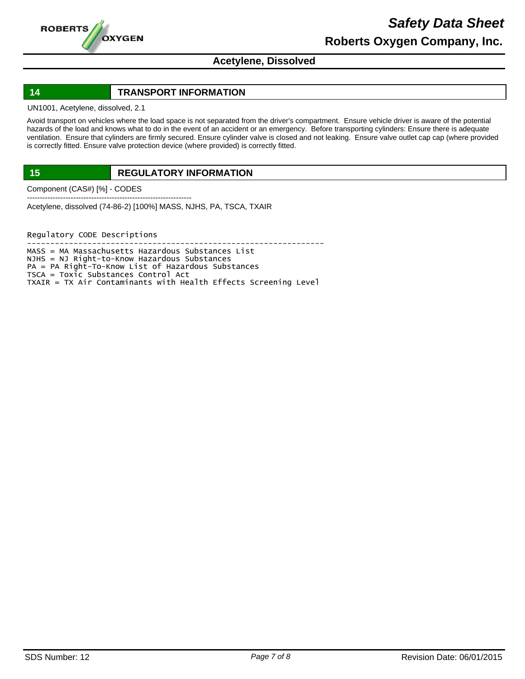

### **14 TRANSPORT INFORMATION**

UN1001, Acetylene, dissolved, 2.1

Avoid transport on vehicles where the load space is not separated from the driver's compartment. Ensure vehicle driver is aware of the potential hazards of the load and knows what to do in the event of an accident or an emergency. Before transporting cylinders: Ensure there is adequate ventilation. Ensure that cylinders are firmly secured. Ensure cylinder valve is closed and not leaking. Ensure valve outlet cap cap (where provided is correctly fitted. Ensure valve protection device (where provided) is correctly fitted.

## **15 REGULATORY INFORMATION**

Component (CAS#) [%] - CODES

---------------------------------------------------------------- Acetylene, dissolved (74-86-2) [100%] MASS, NJHS, PA, TSCA, TXAIR

Regulatory CODE Descriptions

---------------------------------------------------------------- MASS = MA Massachusetts Hazardous Substances List NJHS = NJ Right-to-Know Hazardous Substances PA = PA Right-To-Know List of Hazardous Substances TSCA = Toxic Substances Control Act TXAIR = TX Air Contaminants with Health Effects Screening Level